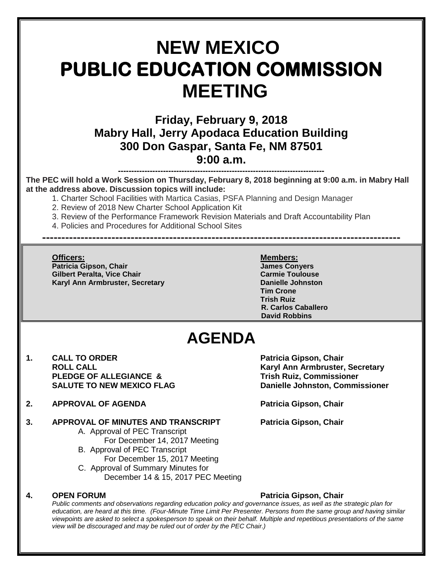# **NEW MEXICO PUBLIC EDUCATION COMMISSION MEETING**

**Friday, February 9, 2018 Mabry Hall, Jerry Apodaca Education Building 300 Don Gaspar, Santa Fe, NM 87501 9:00 a.m.**

**------------------------------------------------------------------------------ The PEC will hold a Work Session on Thursday, February 8, 2018 beginning at 9:00 a.m. in Mabry Hall at the address above. Discussion topics will include:** 

1. Charter School Facilities with Martica Casias, PSFA Planning and Design Manager

- 2. Review of 2018 New Charter School Application Kit
- 3. Review of the Performance Framework Revision Materials and Draft Accountability Plan

**---------------------------------------------------------------------------------------------**

4. Policies and Procedures for Additional School Sites

**Officers: Members: Patricia Gipson, Chair James Conyers Gilbert Peralta, Vice Chair Karyl Ann Armbruster, Secretary <b>Danielle Johnston** 

**Tim Crone Trish Ruiz R. Carlos Caballero David Robbins**

## **AGENDA**

- 1. **CALL TO ORDER Patricia Gipson, Chair PLEDGE OF ALLEGIANCE & Trish Ruiz, Commissioner**
- **2. APPROVAL OF AGENDA Patricia Gipson, Chair**

### **3. APPROVAL OF MINUTES AND TRANSCRIPT Patricia Gipson, Chair**

- A. Approval of PEC Transcript
- For December 14, 2017 Meeting B. Approval of PEC Transcript
	- For December 15, 2017 Meeting
- C. Approval of Summary Minutes for December 14 & 15, 2017 PEC Meeting

#### **4. OPEN FORUM Patricia Gipson, Chair**

**ROLL CALL CALL ROLL CALL Karyl Ann Armbruster, Secretary <b>Karyl Ann Armbruster**, Secretary **SALUTE TO NEW MEXICO FLAG Danielle Johnston, Commissioner**

*Public comments and observations regarding education policy and governance issues, as well as the strategic plan for education, are heard at this time. (Four-Minute Time Limit Per Presenter. Persons from the same group and having similar viewpoints are asked to select a spokesperson to speak on their behalf. Multiple and repetitious presentations of the same view will be discouraged and may be ruled out of order by the PEC Chair.)*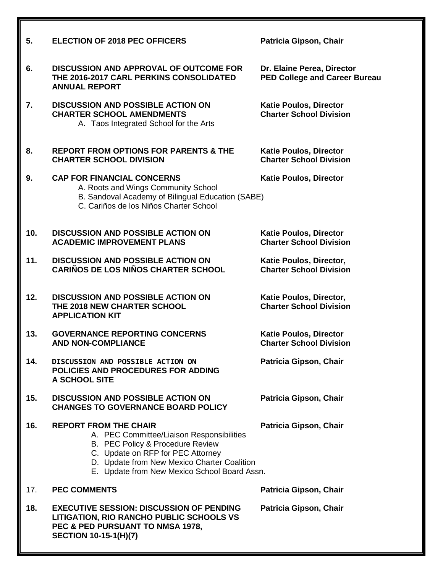| 5.  | <b>ELECTION OF 2018 PEC OFFICERS</b>                                                                                                                                                                                                              | Patricia Gipson, Chair                                             |
|-----|---------------------------------------------------------------------------------------------------------------------------------------------------------------------------------------------------------------------------------------------------|--------------------------------------------------------------------|
| 6.  | <b>DISCUSSION AND APPROVAL OF OUTCOME FOR</b><br>THE 2016-2017 CARL PERKINS CONSOLIDATED<br><b>ANNUAL REPORT</b>                                                                                                                                  | Dr. Elaine Perea, Director<br><b>PED College and Career Bureau</b> |
| 7.  | <b>DISCUSSION AND POSSIBLE ACTION ON</b><br><b>CHARTER SCHOOL AMENDMENTS</b><br>A. Taos Integrated School for the Arts                                                                                                                            | <b>Katie Poulos, Director</b><br><b>Charter School Division</b>    |
| 8.  | <b>REPORT FROM OPTIONS FOR PARENTS &amp; THE</b><br><b>CHARTER SCHOOL DIVISION</b>                                                                                                                                                                | <b>Katie Poulos, Director</b><br><b>Charter School Division</b>    |
| 9.  | <b>CAP FOR FINANCIAL CONCERNS</b><br>A. Roots and Wings Community School<br>B. Sandoval Academy of Bilingual Education (SABE)<br>C. Cariños de los Niños Charter School                                                                           | <b>Katie Poulos, Director</b>                                      |
| 10. | <b>DISCUSSION AND POSSIBLE ACTION ON</b><br><b>ACADEMIC IMPROVEMENT PLANS</b>                                                                                                                                                                     | <b>Katie Poulos, Director</b><br><b>Charter School Division</b>    |
| 11. | <b>DISCUSSION AND POSSIBLE ACTION ON</b><br><b>CARIÑOS DE LOS NIÑOS CHARTER SCHOOL</b>                                                                                                                                                            | Katie Poulos, Director,<br><b>Charter School Division</b>          |
| 12. | <b>DISCUSSION AND POSSIBLE ACTION ON</b><br>THE 2018 NEW CHARTER SCHOOL<br><b>APPLICATION KIT</b>                                                                                                                                                 | Katie Poulos, Director,<br><b>Charter School Division</b>          |
| 13. | <b>GOVERNANCE REPORTING CONCERNS</b><br><b>AND NON-COMPLIANCE</b>                                                                                                                                                                                 | <b>Katie Poulos, Director</b><br><b>Charter School Division</b>    |
| 14. | DISCUSSION AND POSSIBLE ACTION ON<br>POLICIES AND PROCEDURES FOR ADDING<br>A SCHOOL SITE                                                                                                                                                          | Patricia Gipson, Chair                                             |
| 15. | <b>DISCUSSION AND POSSIBLE ACTION ON</b><br><b>CHANGES TO GOVERNANCE BOARD POLICY</b>                                                                                                                                                             | Patricia Gipson, Chair                                             |
| 16. | <b>REPORT FROM THE CHAIR</b><br>A. PEC Committee/Liaison Responsibilities<br>B. PEC Policy & Procedure Review<br>C. Update on RFP for PEC Attorney<br>D. Update from New Mexico Charter Coalition<br>E. Update from New Mexico School Board Assn. | Patricia Gipson, Chair                                             |
| 17. | <b>PEC COMMENTS</b>                                                                                                                                                                                                                               | Patricia Gipson, Chair                                             |
| 18. | <b>EXECUTIVE SESSION: DISCUSSION OF PENDING</b><br>LITIGATION, RIO RANCHO PUBLIC SCHOOLS VS<br>PEC & PED PURSUANT TO NMSA 1978,<br><b>SECTION 10-15-1(H)(7)</b>                                                                                   | Patricia Gipson, Chair                                             |